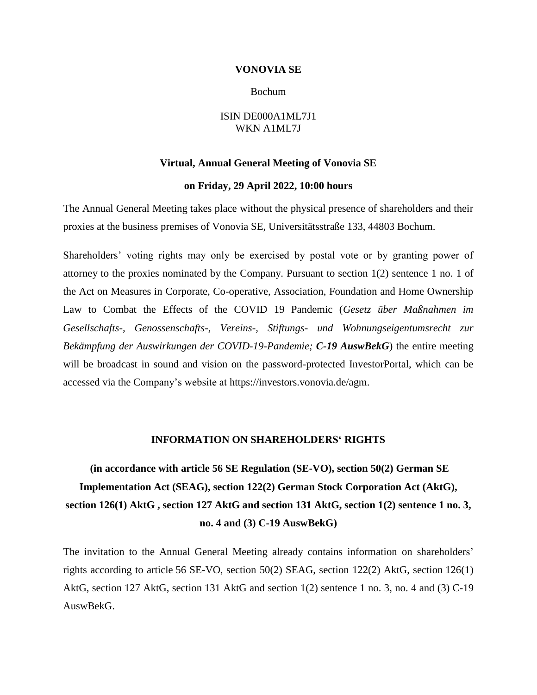### **VONOVIA SE**

### Bochum

### ISIN DE000A1ML7J1 WKN A1ML7J

### **Virtual, Annual General Meeting of Vonovia SE**

### **on Friday, 29 April 2022, 10:00 hours**

The Annual General Meeting takes place without the physical presence of shareholders and their proxies at the business premises of Vonovia SE, Universitätsstraße 133, 44803 Bochum.

Shareholders' voting rights may only be exercised by postal vote or by granting power of attorney to the proxies nominated by the Company. Pursuant to section 1(2) sentence 1 no. 1 of the Act on Measures in Corporate, Co-operative, Association, Foundation and Home Ownership Law to Combat the Effects of the COVID 19 Pandemic (*Gesetz über Maßnahmen im Gesellschafts-, Genossenschafts-, Vereins-, Stiftungs- und Wohnungseigentumsrecht zur Bekämpfung der Auswirkungen der COVID-19-Pandemie; C-19 AuswBekG*) the entire meeting will be broadcast in sound and vision on the password-protected InvestorPortal, which can be accessed via the Company's website at https://investors.vonovia.de/agm.

### **INFORMATION ON SHAREHOLDERS' RIGHTS**

**(in accordance with article 56 SE Regulation (SE-VO), section 50(2) German SE Implementation Act (SEAG), section 122(2) German Stock Corporation Act (AktG), section 126(1) AktG , section 127 AktG and section 131 AktG, section 1(2) sentence 1 no. 3, no. 4 and (3) C-19 AuswBekG)**

The invitation to the Annual General Meeting already contains information on shareholders' rights according to article 56 SE-VO, section 50(2) SEAG, section 122(2) AktG, section 126(1) AktG, section 127 AktG, section 131 AktG and section 1(2) sentence 1 no. 3, no. 4 and (3) C-19 AuswBekG.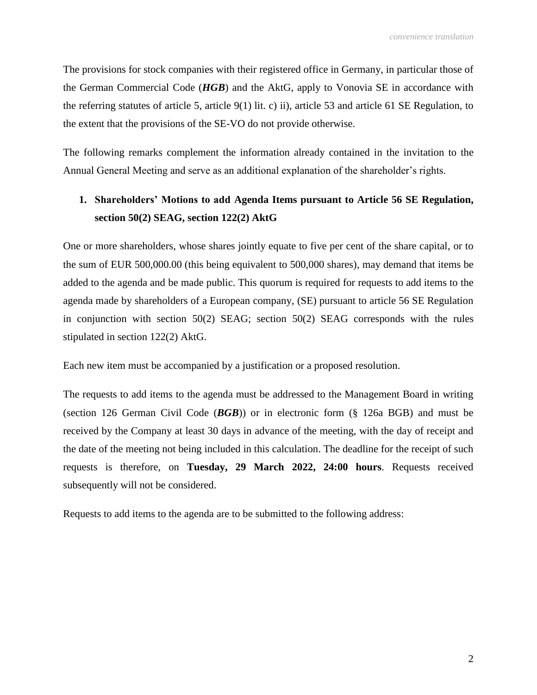The provisions for stock companies with their registered office in Germany, in particular those of the German Commercial Code (*HGB*) and the AktG, apply to Vonovia SE in accordance with the referring statutes of article 5, article 9(1) lit. c) ii), article 53 and article 61 SE Regulation, to the extent that the provisions of the SE-VO do not provide otherwise.

The following remarks complement the information already contained in the invitation to the Annual General Meeting and serve as an additional explanation of the shareholder's rights.

# **1. Shareholders' Motions to add Agenda Items pursuant to Article 56 SE Regulation, section 50(2) SEAG, section 122(2) AktG**

One or more shareholders, whose shares jointly equate to five per cent of the share capital, or to the sum of EUR 500,000.00 (this being equivalent to 500,000 shares), may demand that items be added to the agenda and be made public. This quorum is required for requests to add items to the agenda made by shareholders of a European company, (SE) pursuant to article 56 SE Regulation in conjunction with section 50(2) SEAG; section 50(2) SEAG corresponds with the rules stipulated in section 122(2) AktG.

Each new item must be accompanied by a justification or a proposed resolution.

The requests to add items to the agenda must be addressed to the Management Board in writing (section 126 German Civil Code (*BGB*)) or in electronic form (§ 126a BGB) and must be received by the Company at least 30 days in advance of the meeting, with the day of receipt and the date of the meeting not being included in this calculation. The deadline for the receipt of such requests is therefore, on **Tuesday, 29 March 2022, 24:00 hours**. Requests received subsequently will not be considered.

Requests to add items to the agenda are to be submitted to the following address: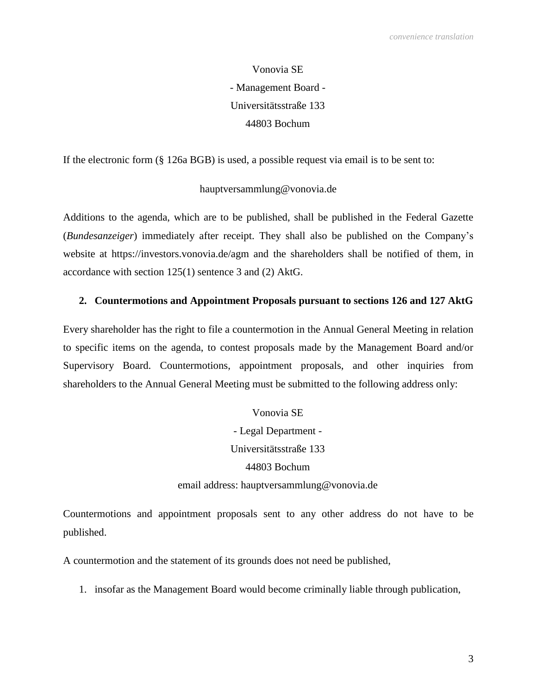Vonovia SE - Management Board - Universitätsstraße 133 44803 Bochum

If the electronic form (§ 126a BGB) is used, a possible request via email is to be sent to:

## hauptversammlung@vonovia.de

Additions to the agenda, which are to be published, shall be published in the Federal Gazette (*Bundesanzeiger*) immediately after receipt. They shall also be published on the Company's website at https://investors.vonovia.de/agm and the shareholders shall be notified of them, in accordance with section 125(1) sentence 3 and (2) AktG.

## **2. Countermotions and Appointment Proposals pursuant to sections 126 and 127 AktG**

Every shareholder has the right to file a countermotion in the Annual General Meeting in relation to specific items on the agenda, to contest proposals made by the Management Board and/or Supervisory Board. Countermotions, appointment proposals, and other inquiries from shareholders to the Annual General Meeting must be submitted to the following address only:

> - Legal Department - Universitätsstraße 133 44803 Bochum email address: hauptversammlung@vonovia.de

Vonovia SE

Countermotions and appointment proposals sent to any other address do not have to be published.

A countermotion and the statement of its grounds does not need be published,

1. insofar as the Management Board would become criminally liable through publication,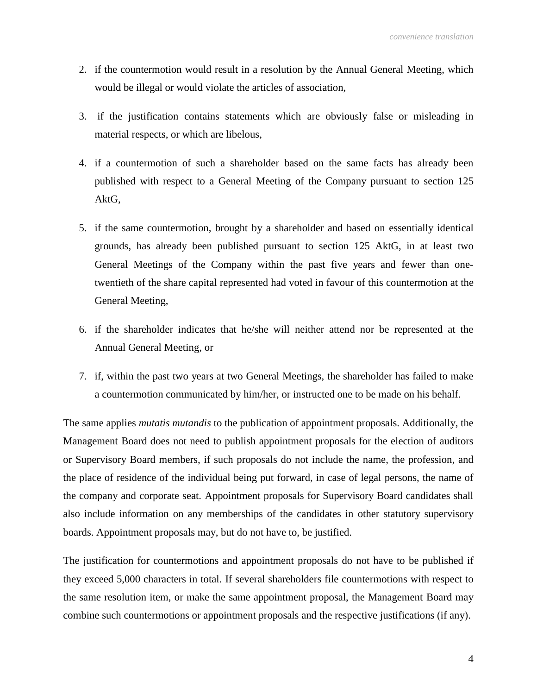- 2. if the countermotion would result in a resolution by the Annual General Meeting, which would be illegal or would violate the articles of association,
- 3. if the justification contains statements which are obviously false or misleading in material respects, or which are libelous,
- 4. if a countermotion of such a shareholder based on the same facts has already been published with respect to a General Meeting of the Company pursuant to section 125 AktG,
- 5. if the same countermotion, brought by a shareholder and based on essentially identical grounds, has already been published pursuant to section 125 AktG, in at least two General Meetings of the Company within the past five years and fewer than onetwentieth of the share capital represented had voted in favour of this countermotion at the General Meeting,
- 6. if the shareholder indicates that he/she will neither attend nor be represented at the Annual General Meeting, or
- 7. if, within the past two years at two General Meetings, the shareholder has failed to make a countermotion communicated by him/her, or instructed one to be made on his behalf.

The same applies *mutatis mutandis* to the publication of appointment proposals. Additionally, the Management Board does not need to publish appointment proposals for the election of auditors or Supervisory Board members, if such proposals do not include the name, the profession, and the place of residence of the individual being put forward, in case of legal persons, the name of the company and corporate seat. Appointment proposals for Supervisory Board candidates shall also include information on any memberships of the candidates in other statutory supervisory boards. Appointment proposals may, but do not have to, be justified.

The justification for countermotions and appointment proposals do not have to be published if they exceed 5,000 characters in total. If several shareholders file countermotions with respect to the same resolution item, or make the same appointment proposal, the Management Board may combine such countermotions or appointment proposals and the respective justifications (if any).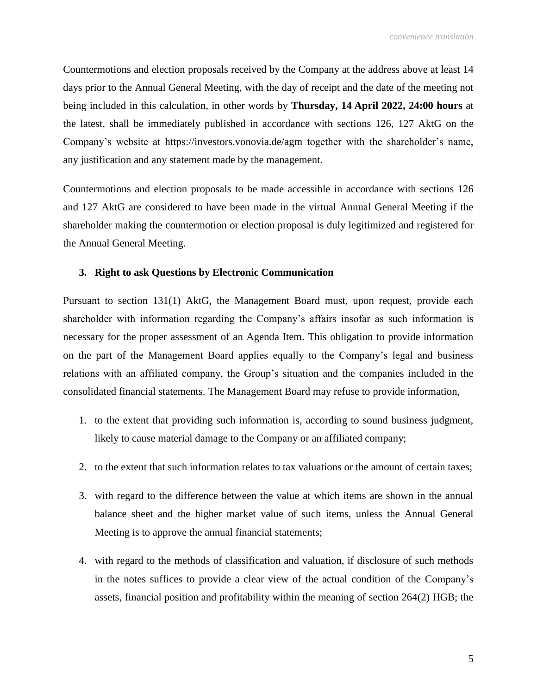Countermotions and election proposals received by the Company at the address above at least 14 days prior to the Annual General Meeting, with the day of receipt and the date of the meeting not being included in this calculation, in other words by **Thursday, 14 April 2022, 24:00 hours** at the latest, shall be immediately published in accordance with sections 126, 127 AktG on the Company's website at https://investors.vonovia.de/agm together with the shareholder's name, any justification and any statement made by the management.

Countermotions and election proposals to be made accessible in accordance with sections 126 and 127 AktG are considered to have been made in the virtual Annual General Meeting if the shareholder making the countermotion or election proposal is duly legitimized and registered for the Annual General Meeting.

## **3. Right to ask Questions by Electronic Communication**

Pursuant to section 131(1) AktG, the Management Board must, upon request, provide each shareholder with information regarding the Company's affairs insofar as such information is necessary for the proper assessment of an Agenda Item. This obligation to provide information on the part of the Management Board applies equally to the Company's legal and business relations with an affiliated company, the Group's situation and the companies included in the consolidated financial statements. The Management Board may refuse to provide information,

- 1. to the extent that providing such information is, according to sound business judgment, likely to cause material damage to the Company or an affiliated company;
- 2. to the extent that such information relates to tax valuations or the amount of certain taxes;
- 3. with regard to the difference between the value at which items are shown in the annual balance sheet and the higher market value of such items, unless the Annual General Meeting is to approve the annual financial statements;
- 4. with regard to the methods of classification and valuation, if disclosure of such methods in the notes suffices to provide a clear view of the actual condition of the Company's assets, financial position and profitability within the meaning of section 264(2) HGB; the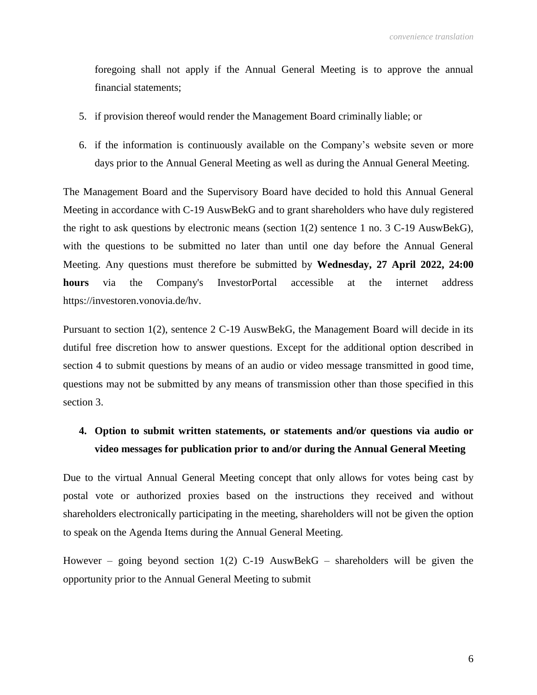foregoing shall not apply if the Annual General Meeting is to approve the annual financial statements;

- 5. if provision thereof would render the Management Board criminally liable; or
- 6. if the information is continuously available on the Company's website seven or more days prior to the Annual General Meeting as well as during the Annual General Meeting.

The Management Board and the Supervisory Board have decided to hold this Annual General Meeting in accordance with C-19 AuswBekG and to grant shareholders who have duly registered the right to ask questions by electronic means (section 1(2) sentence 1 no. 3 C-19 AuswBekG), with the questions to be submitted no later than until one day before the Annual General Meeting. Any questions must therefore be submitted by **Wednesday, 27 April 2022, 24:00 hours** via the Company's InvestorPortal accessible at the internet address https://investoren.vonovia.de/hv.

Pursuant to section 1(2), sentence 2 C-19 AuswBekG, the Management Board will decide in its dutiful free discretion how to answer questions. Except for the additional option described in section 4 to submit questions by means of an audio or video message transmitted in good time, questions may not be submitted by any means of transmission other than those specified in this section 3.

## **4. Option to submit written statements, or statements and/or questions via audio or video messages for publication prior to and/or during the Annual General Meeting**

Due to the virtual Annual General Meeting concept that only allows for votes being cast by postal vote or authorized proxies based on the instructions they received and without shareholders electronically participating in the meeting, shareholders will not be given the option to speak on the Agenda Items during the Annual General Meeting.

However – going beyond section  $1(2)$  C-19 AuswBekG – shareholders will be given the opportunity prior to the Annual General Meeting to submit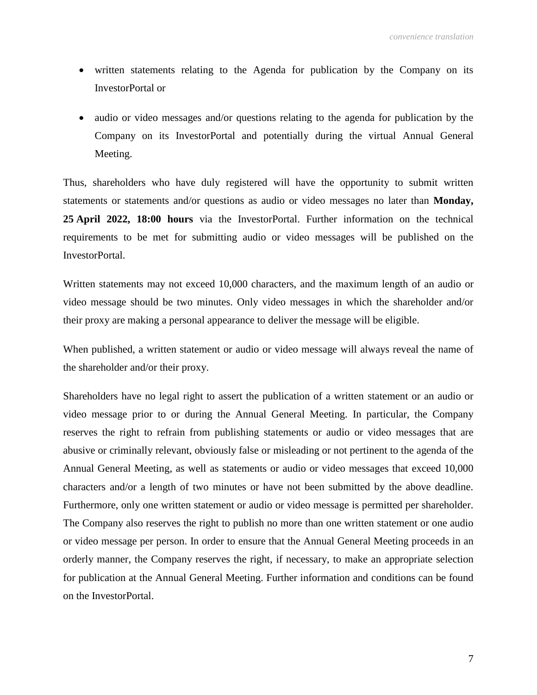- written statements relating to the Agenda for publication by the Company on its InvestorPortal or
- audio or video messages and/or questions relating to the agenda for publication by the Company on its InvestorPortal and potentially during the virtual Annual General Meeting.

Thus, shareholders who have duly registered will have the opportunity to submit written statements or statements and/or questions as audio or video messages no later than **Monday, 25 April 2022, 18:00 hours** via the InvestorPortal. Further information on the technical requirements to be met for submitting audio or video messages will be published on the InvestorPortal.

Written statements may not exceed 10,000 characters, and the maximum length of an audio or video message should be two minutes. Only video messages in which the shareholder and/or their proxy are making a personal appearance to deliver the message will be eligible.

When published, a written statement or audio or video message will always reveal the name of the shareholder and/or their proxy.

Shareholders have no legal right to assert the publication of a written statement or an audio or video message prior to or during the Annual General Meeting. In particular, the Company reserves the right to refrain from publishing statements or audio or video messages that are abusive or criminally relevant, obviously false or misleading or not pertinent to the agenda of the Annual General Meeting, as well as statements or audio or video messages that exceed 10,000 characters and/or a length of two minutes or have not been submitted by the above deadline. Furthermore, only one written statement or audio or video message is permitted per shareholder. The Company also reserves the right to publish no more than one written statement or one audio or video message per person. In order to ensure that the Annual General Meeting proceeds in an orderly manner, the Company reserves the right, if necessary, to make an appropriate selection for publication at the Annual General Meeting. Further information and conditions can be found on the InvestorPortal.